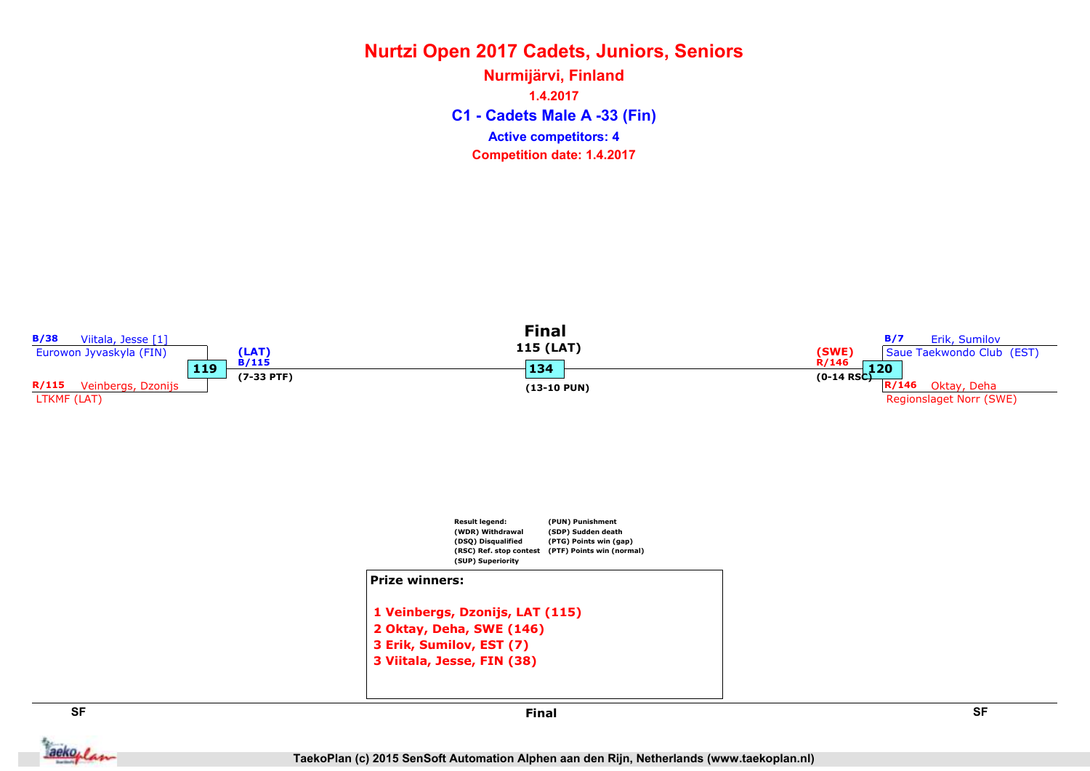C1 - Cadets Male A -33 (Fin) Nurmijärvi, Finland 1.4.2017 Competition date: 1.4.2017 Active competitors: 4



aekoplan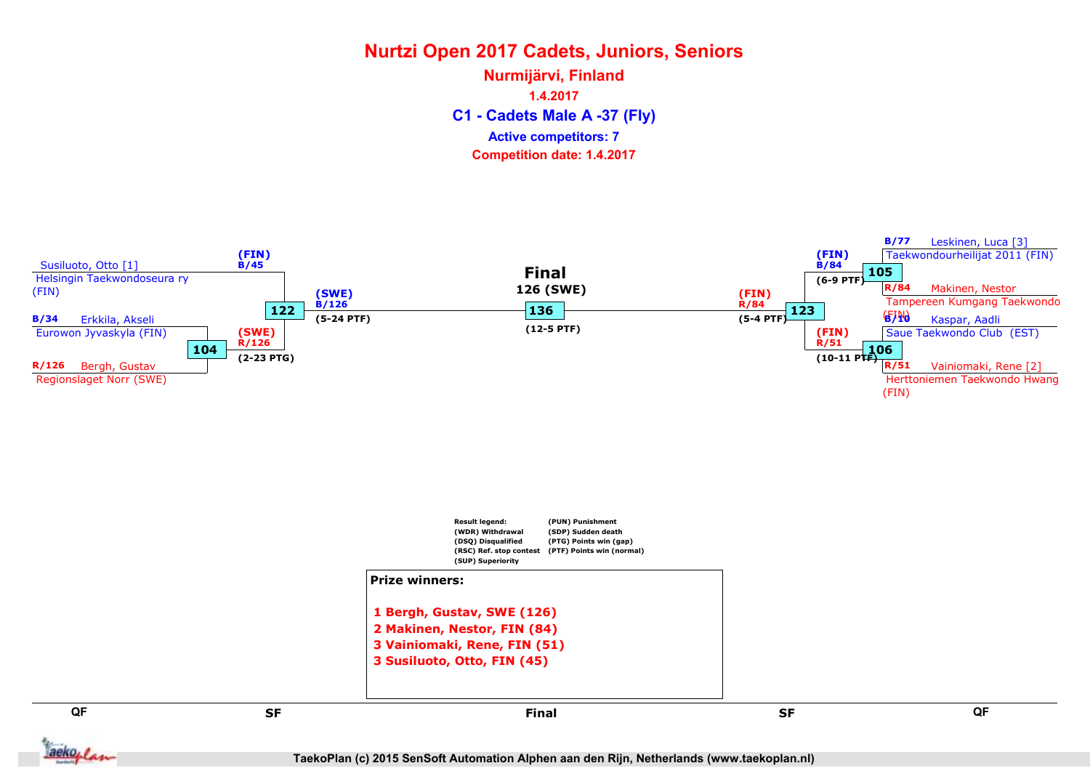C1 - Cadets Male A -37 (Fly) Nurmijärvi, Finland 1.4.2017 Competition date: 1.4.2017 Active competitors: 7

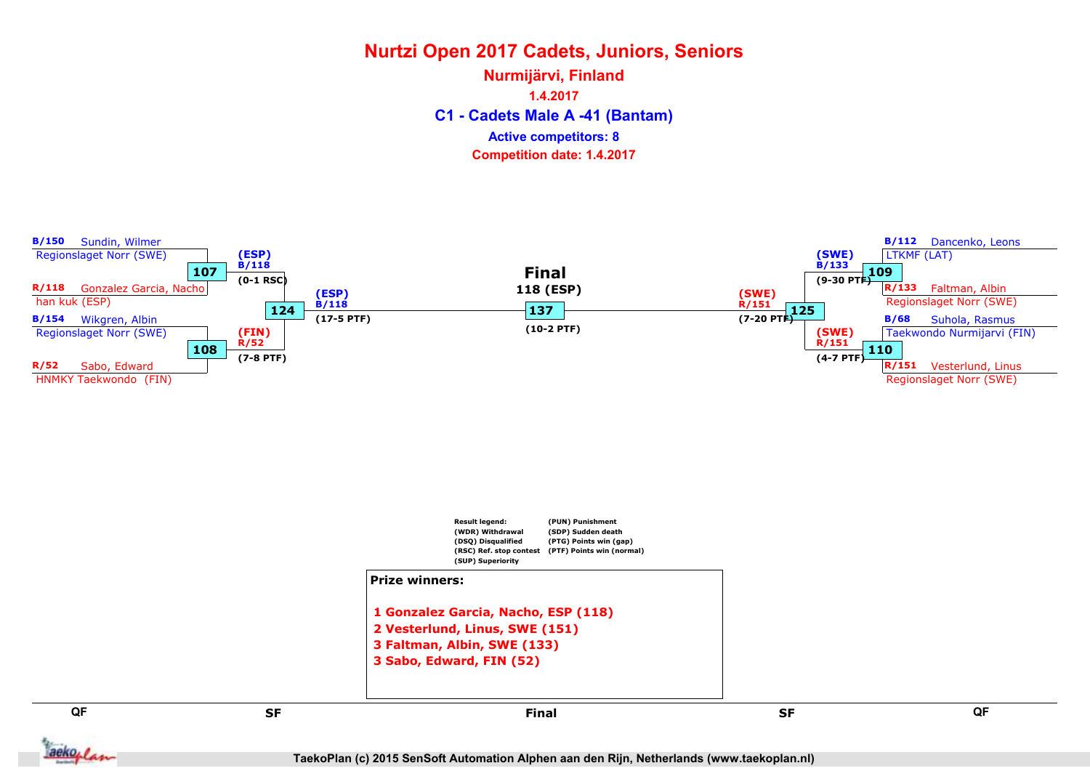C1 - Cadets Male A -41 (Bantam) Nurmijärvi, Finland 1.4.2017 Competition date: 1.4.2017 Active competitors: 8



**Jackoplan** 

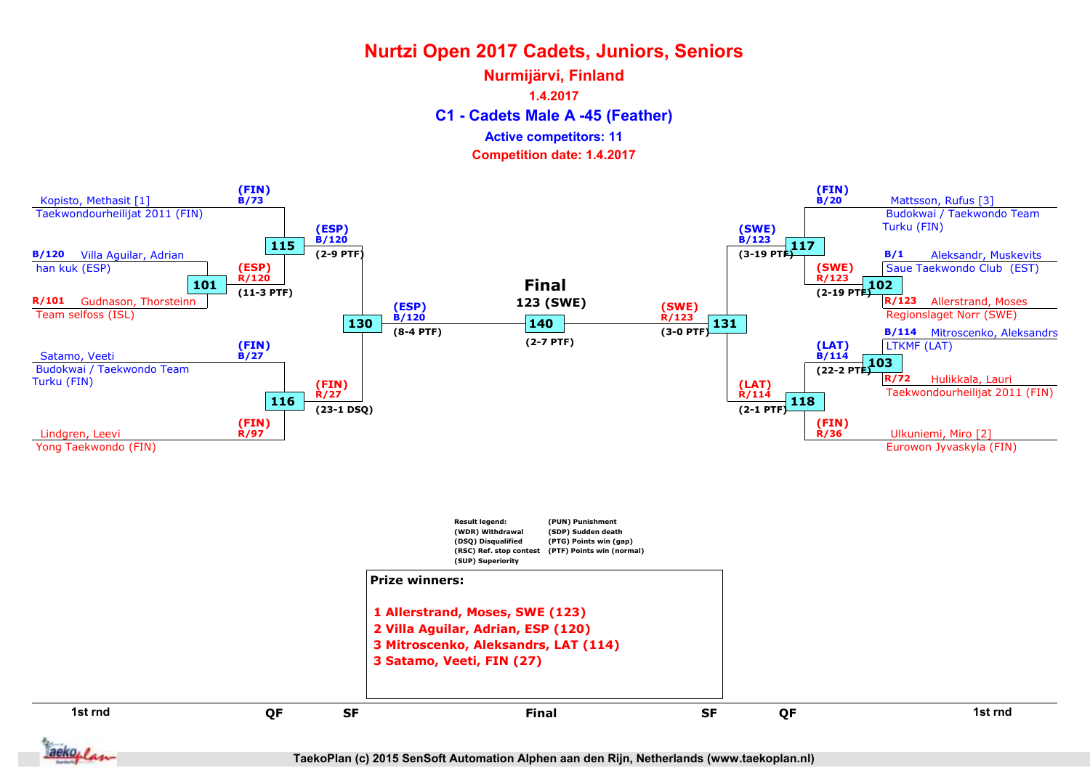## C1 - Cadets Male A -45 (Feather) Nurmijärvi, Finland 1.4.2017 Active competitors: 11





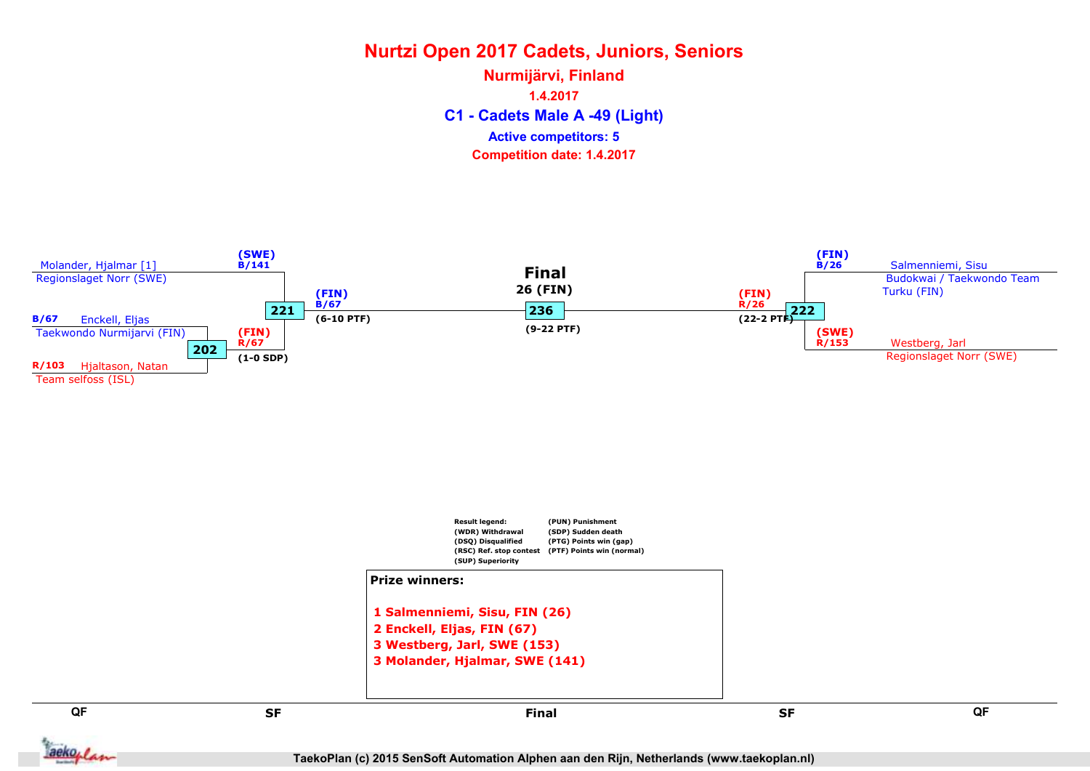C1 - Cadets Male A -49 (Light) Nurmijärvi, Finland 1.4.2017 Competition date: 1.4.2017 Active competitors: 5

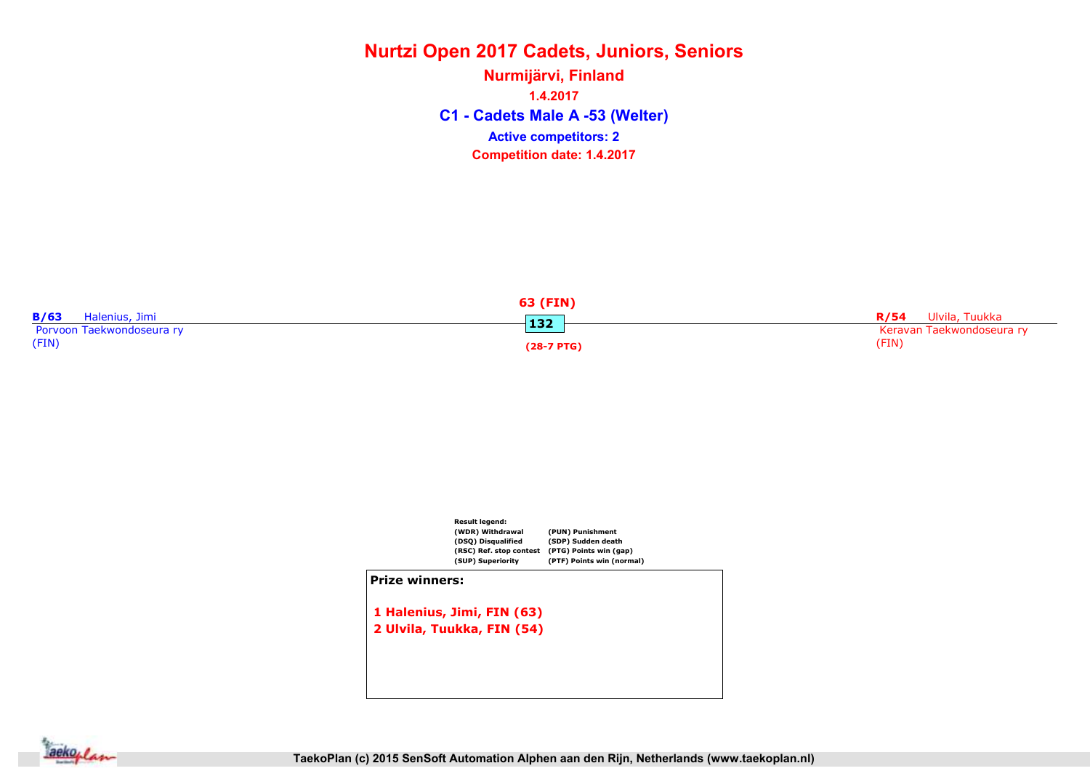C1 - Cadets Male A -53 (Welter) Nurmijärvi, Finland 1.4.2017 Competition date: 1.4.2017 Active competitors: 2

| 63 (FIN)                  |              |                           |
|---------------------------|--------------|---------------------------|
| B/63<br>Halenius, Jimi    | 132          | R/54 Ulvila, Tuukka       |
| Porvoon Taekwondoseura ry |              | Keravan Taekwondoseura ry |
| (FIN)                     | $(28-7 PTG)$ | (FIN)                     |



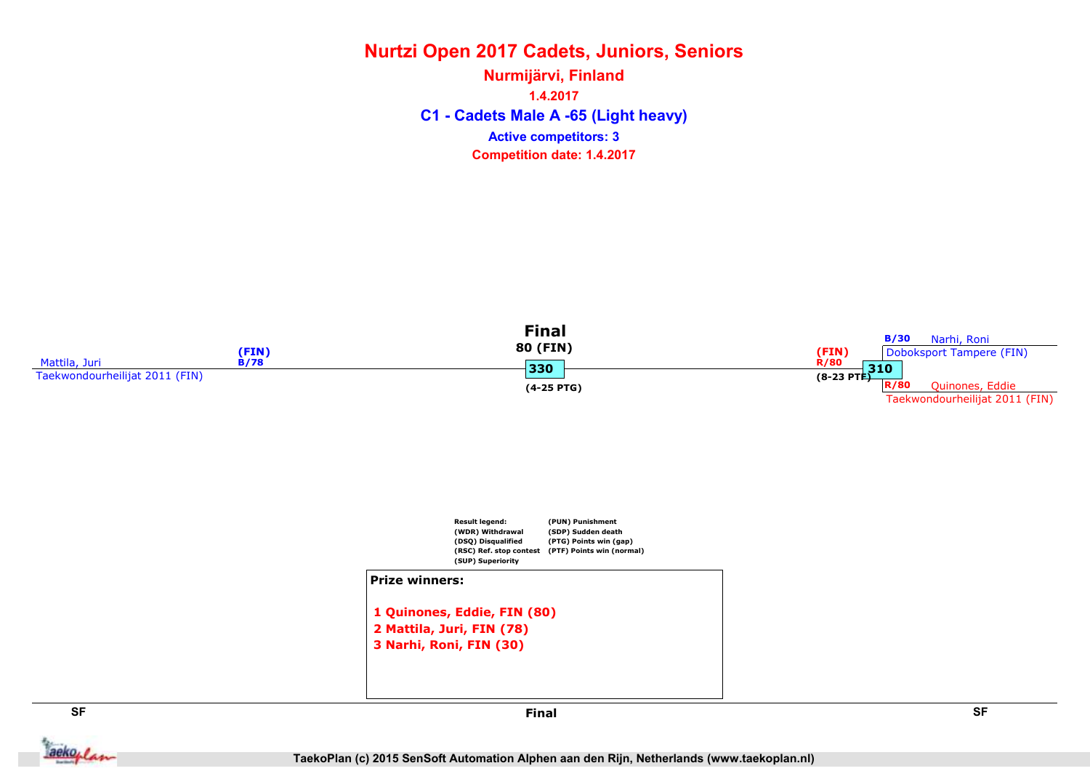### Nurtzi Open 2017 Cadets, Juniors, Seniors C1 - Cadets Male A -65 (Light heavy) Nurmijärvi, Finland 1.4.2017 Competition date: 1.4.2017 Active competitors: 3



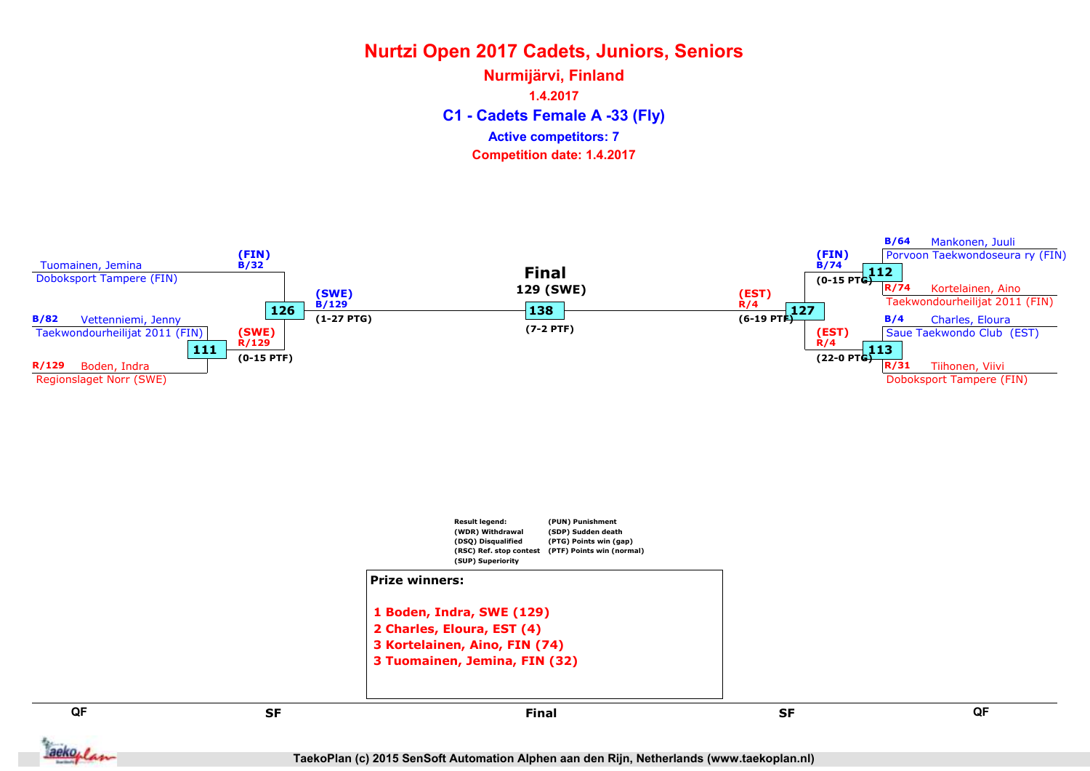C1 - Cadets Female A -33 (Fly) Nurmijärvi, Finland 1.4.2017 Competition date: 1.4.2017 Active competitors: 7

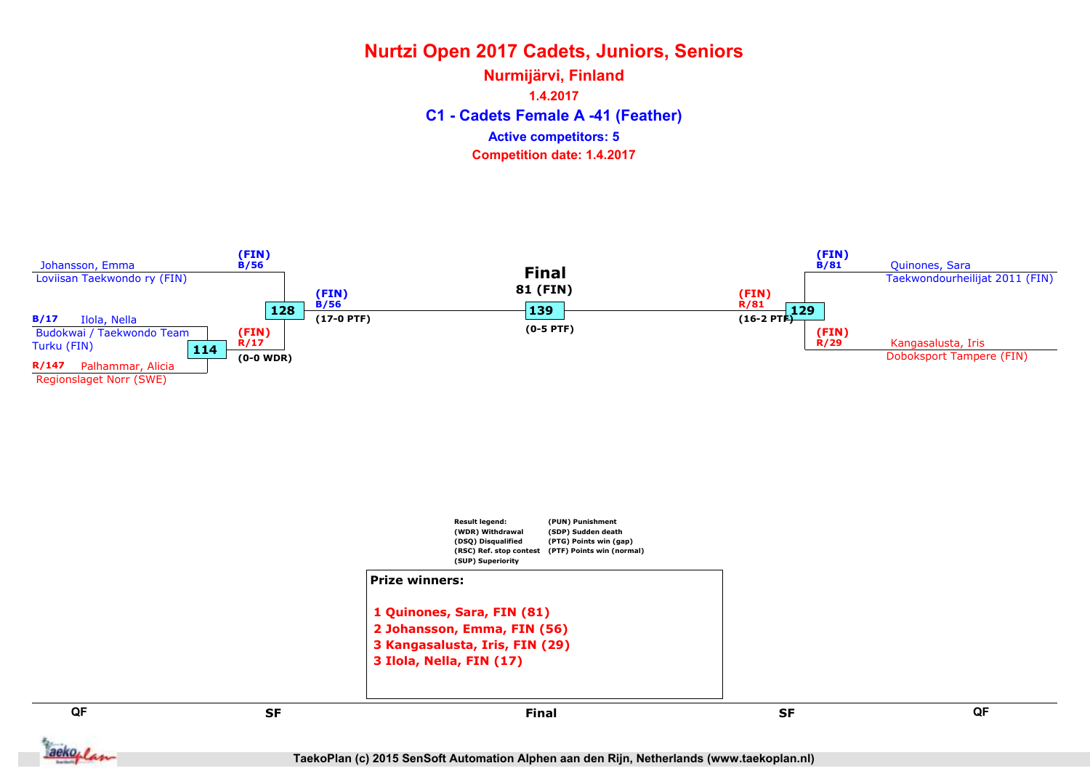C1 - Cadets Female A -41 (Feather) Nurmijärvi, Finland 1.4.2017 Competition date: 1.4.2017 Active competitors: 5

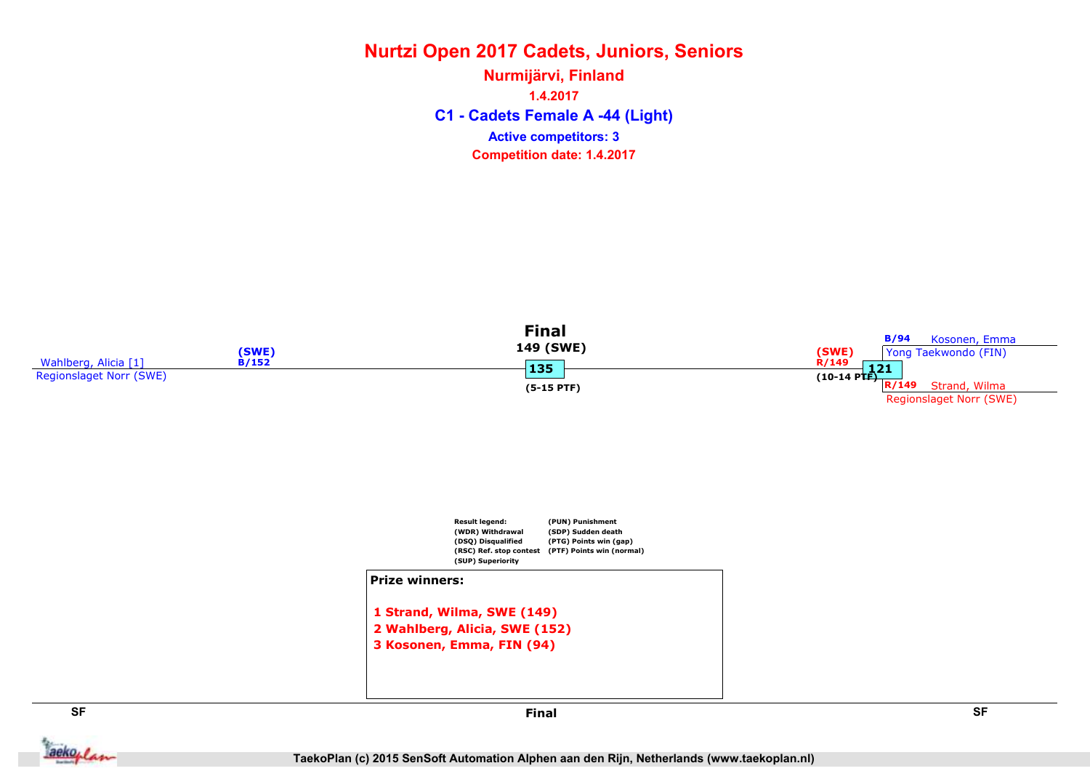C1 - Cadets Female A -44 (Light) Nurmijärvi, Finland 1.4.2017 Competition date: 1.4.2017 Active competitors: 3



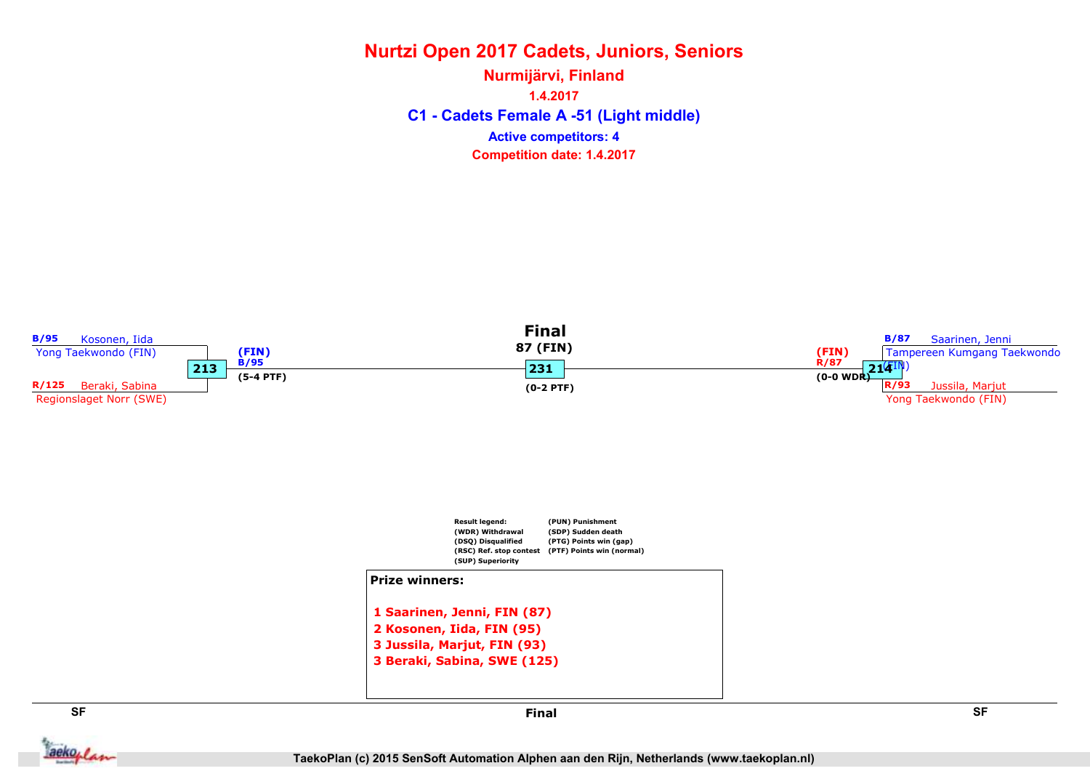### Nurtzi Open 2017 Cadets, Juniors, Seniors C1 - Cadets Female A -51 (Light middle) Nurmijärvi, Finland 1.4.2017 Competition date: 1.4.2017 Active competitors: 4

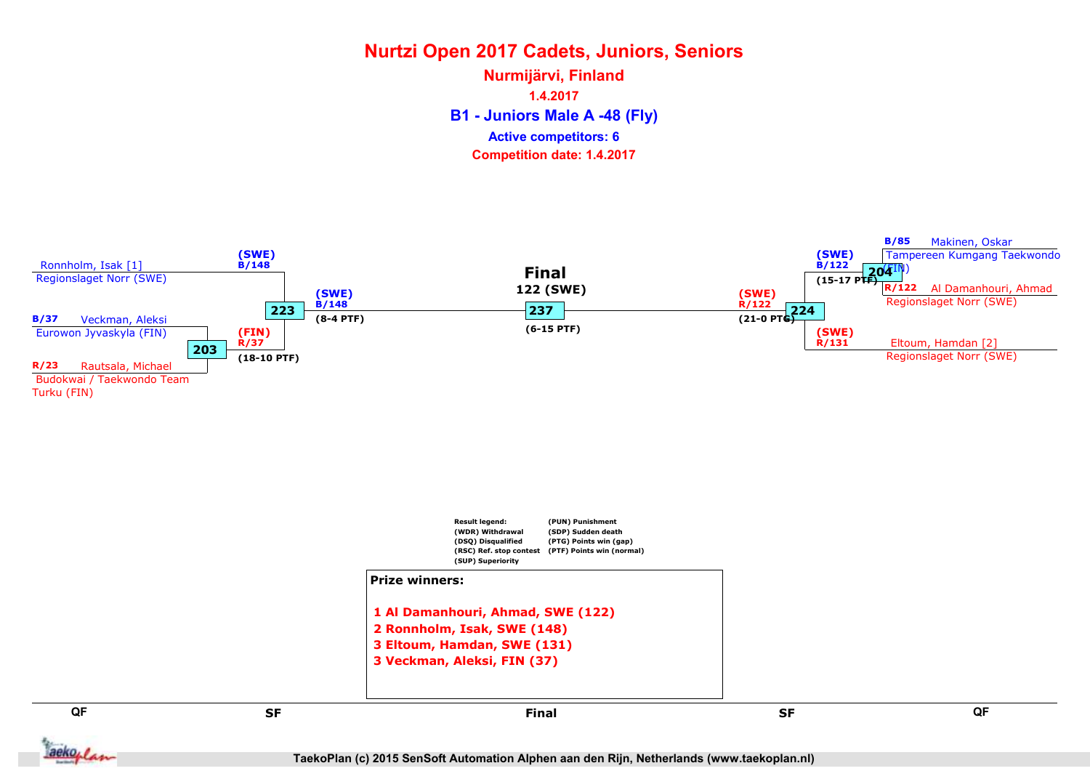B1 - Juniors Male A -48 (Fly) Nurmijärvi, Finland 1.4.2017 Competition date: 1.4.2017 Active competitors: 6

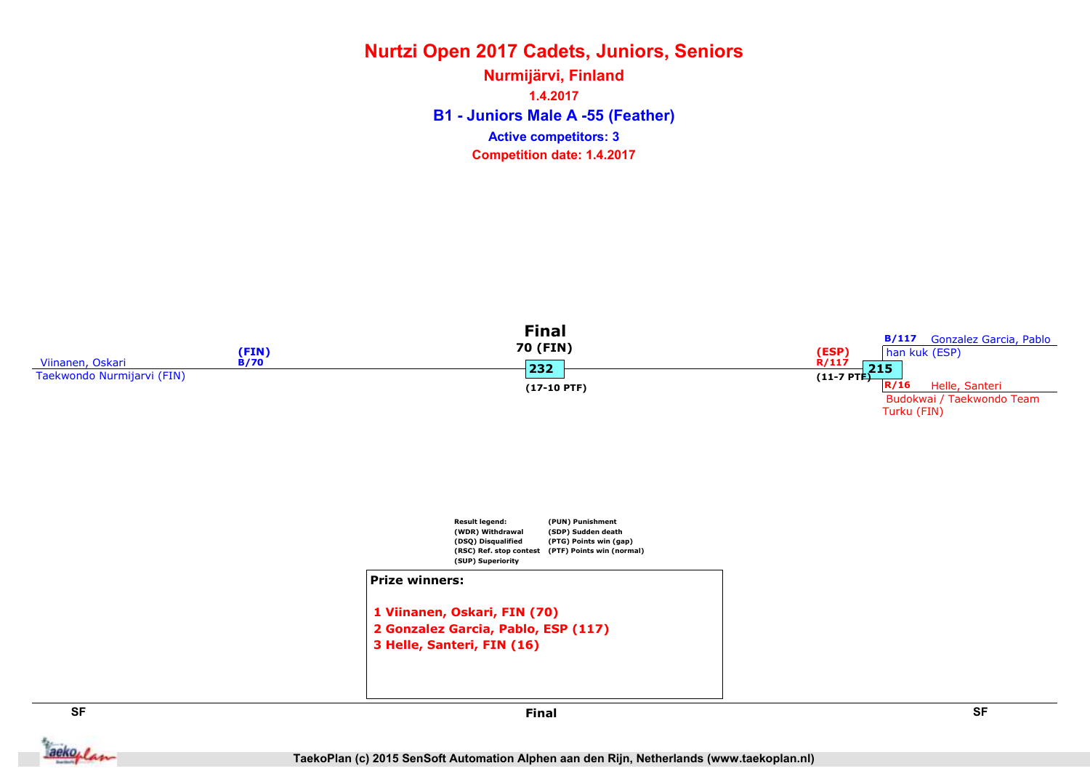B1 - Juniors Male A -55 (Feather) Nurmijärvi, Finland 1.4.2017 Competition date: 1.4.2017 Active competitors: 3



TaekoPlan (c) 2015 SenSoft Automation Alphen aan den Rijn, Netherlands (www.taekoplan.nl)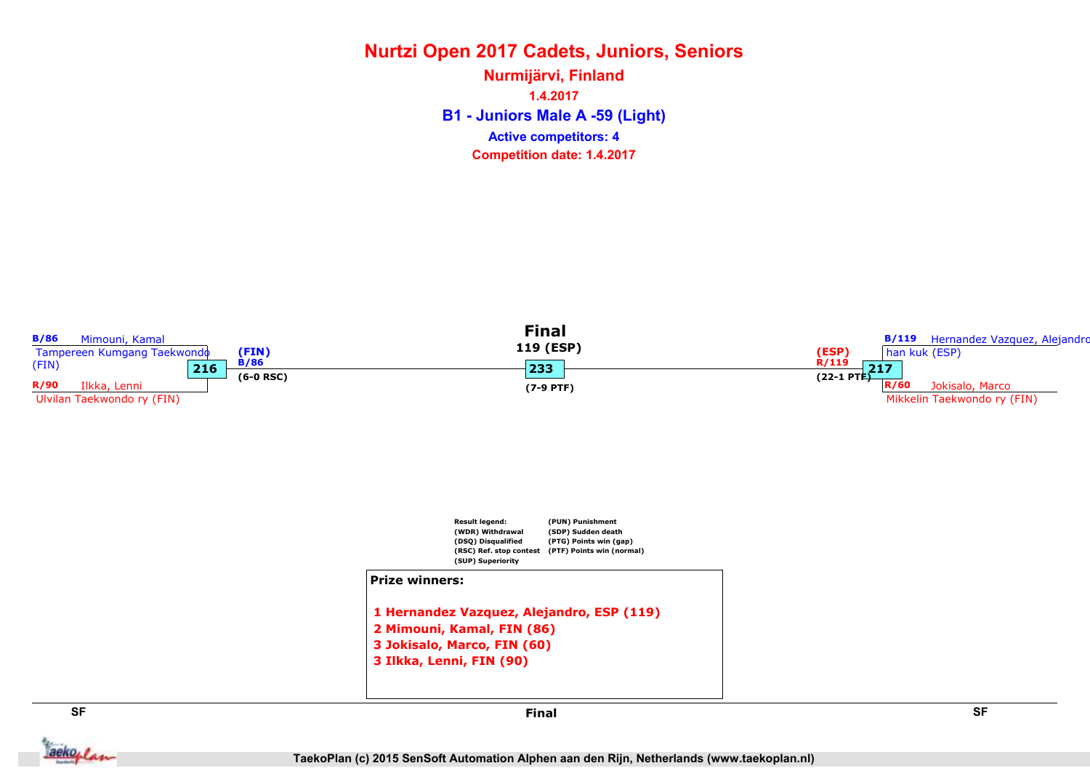B1 - Juniors Male A -59 (Light) Nurmijärvi, Finland 1.4.2017 Competition date: 1.4.2017 Active competitors: 4



aekoplan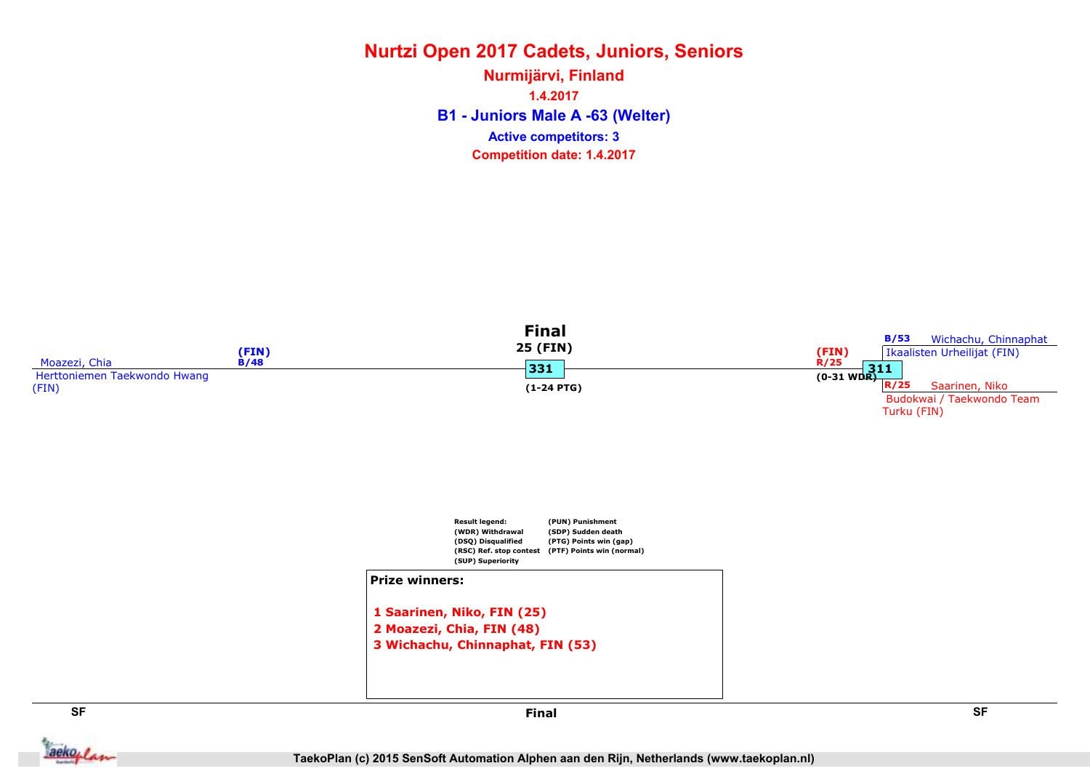### Nurtzi Open 2017 Cadets, Juniors, Seniors B1 - Juniors Male A -63 (Welter) Nurmijärvi, Finland 1.4.2017 Competition date: 1.4.2017 Active competitors: 3

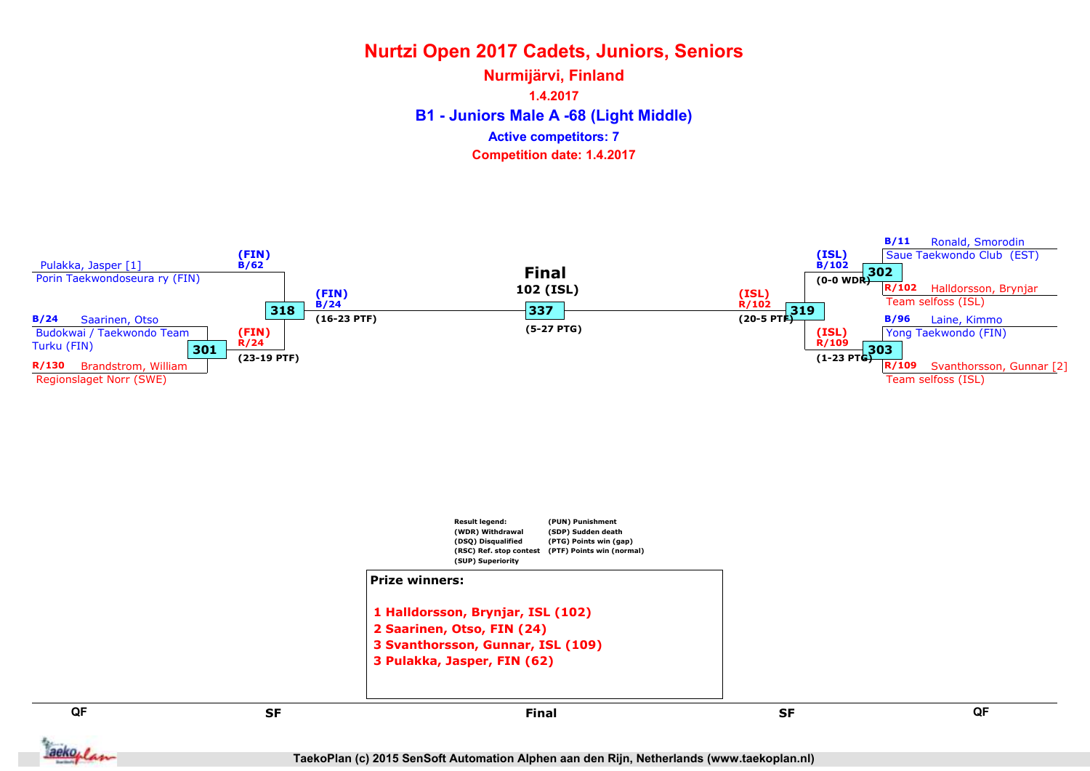B1 - Juniors Male A -68 (Light Middle) Nurmijärvi, Finland 1.4.2017 Competition date: 1.4.2017 Active competitors: 7

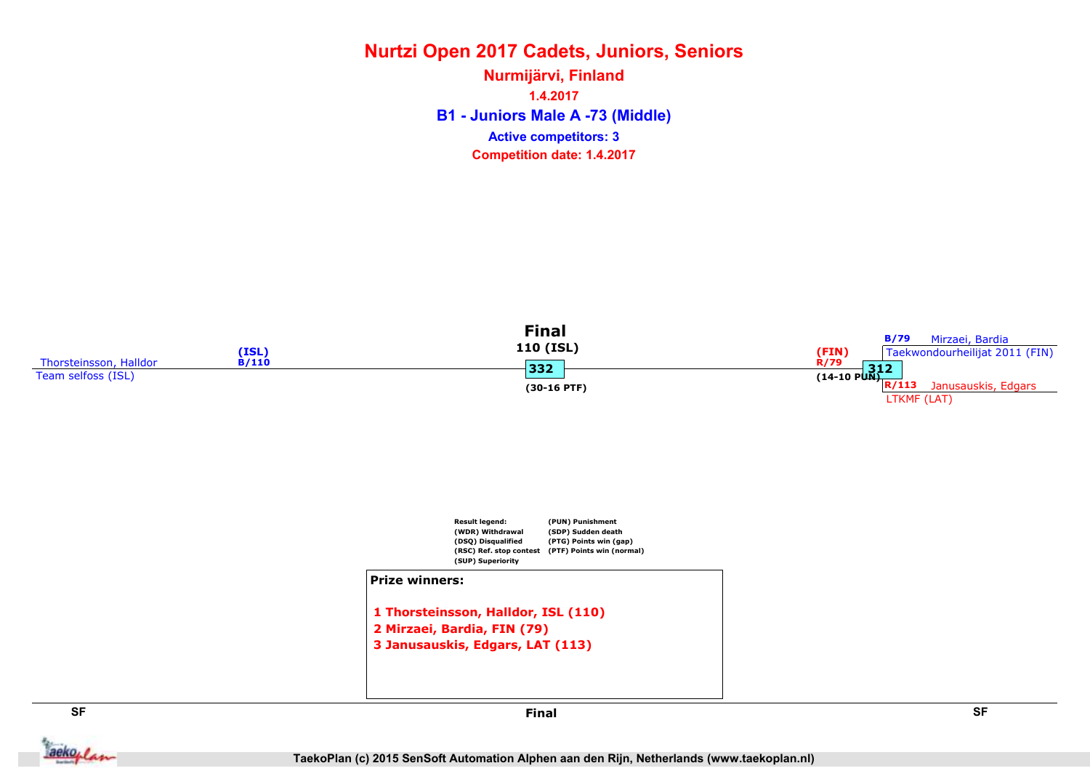B1 - Juniors Male A -73 (Middle) Nurmijärvi, Finland 1.4.2017 Competition date: 1.4.2017 Active competitors: 3



**Jackoplan** 

SF SF Final

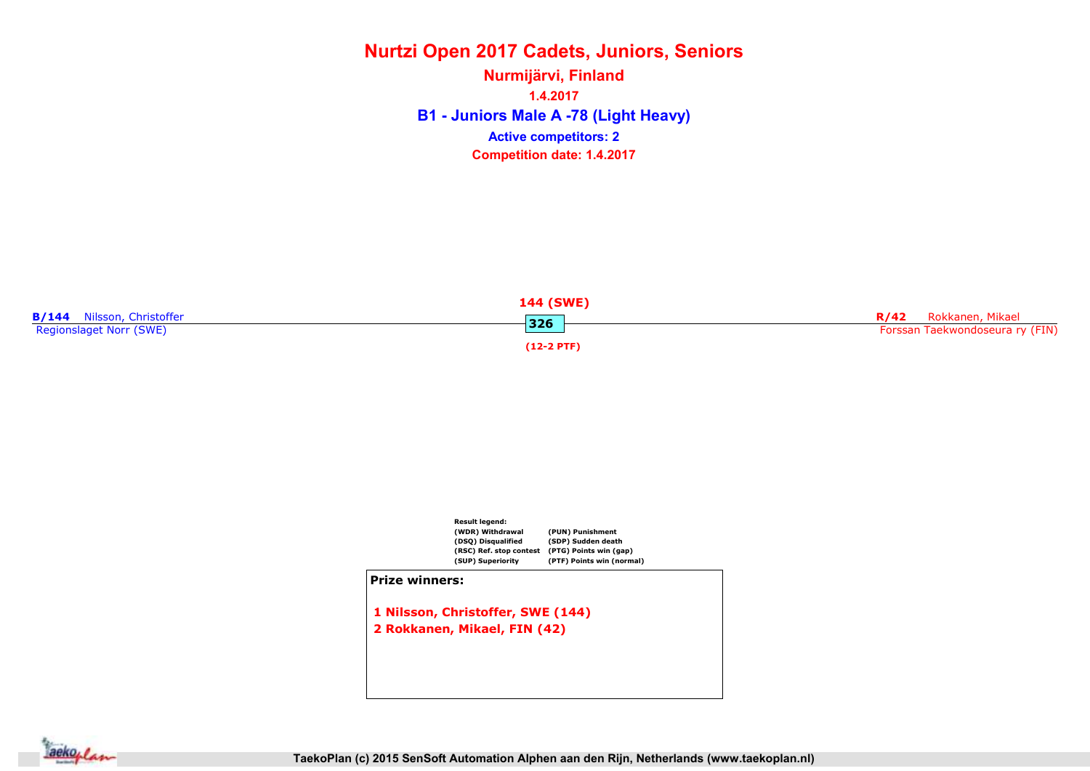B1 - Juniors Male A -78 (Light Heavy) Nurmijärvi, Finland 1.4.2017 Competition date: 1.4.2017 Active competitors: 2





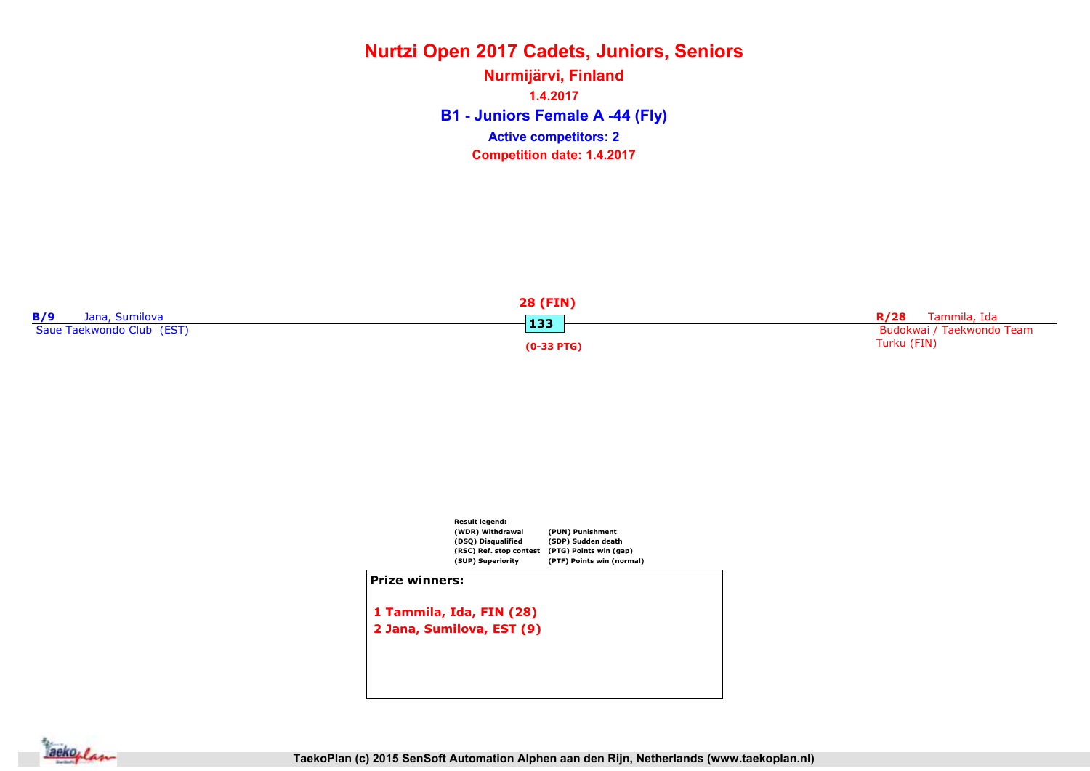B1 - Juniors Female A -44 (Fly) Nurmijärvi, Finland 1.4.2017 Competition date: 1.4.2017 Active competitors: 2





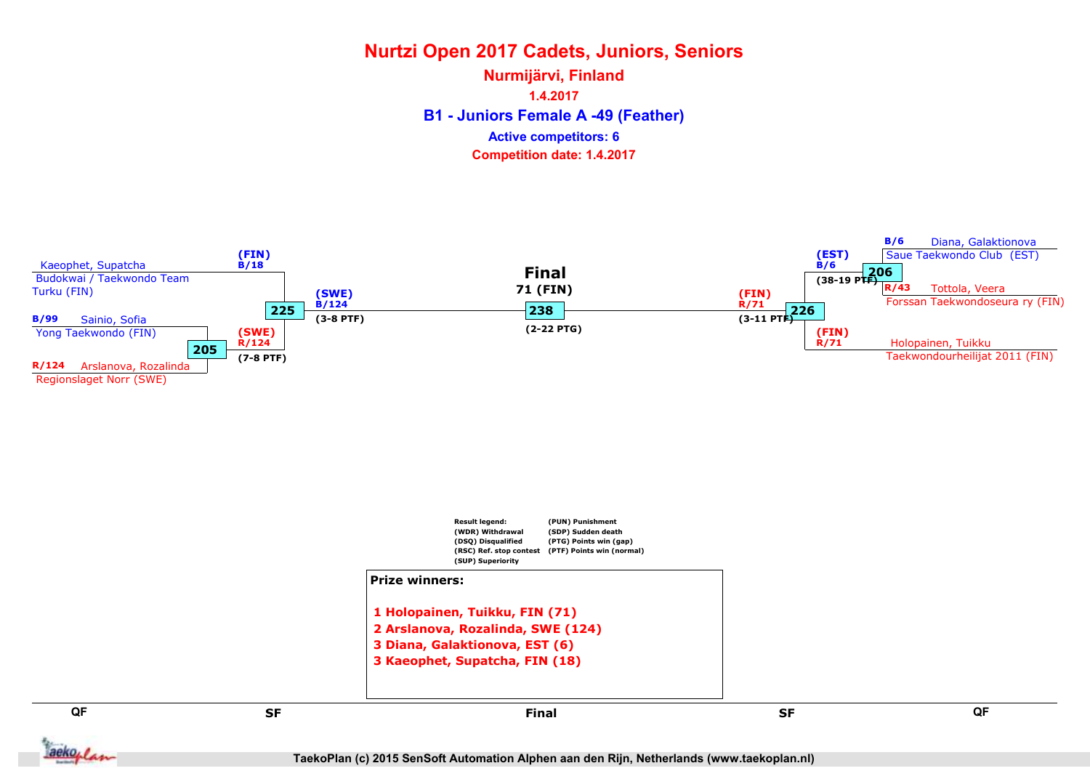B1 - Juniors Female A -49 (Feather) Nurmijärvi, Finland 1.4.2017 Competition date: 1.4.2017 Active competitors: 6



TaekoPlan (c) 2015 SenSoft Automation Alphen aan den Rijn, Netherlands (www.taekoplan.nl)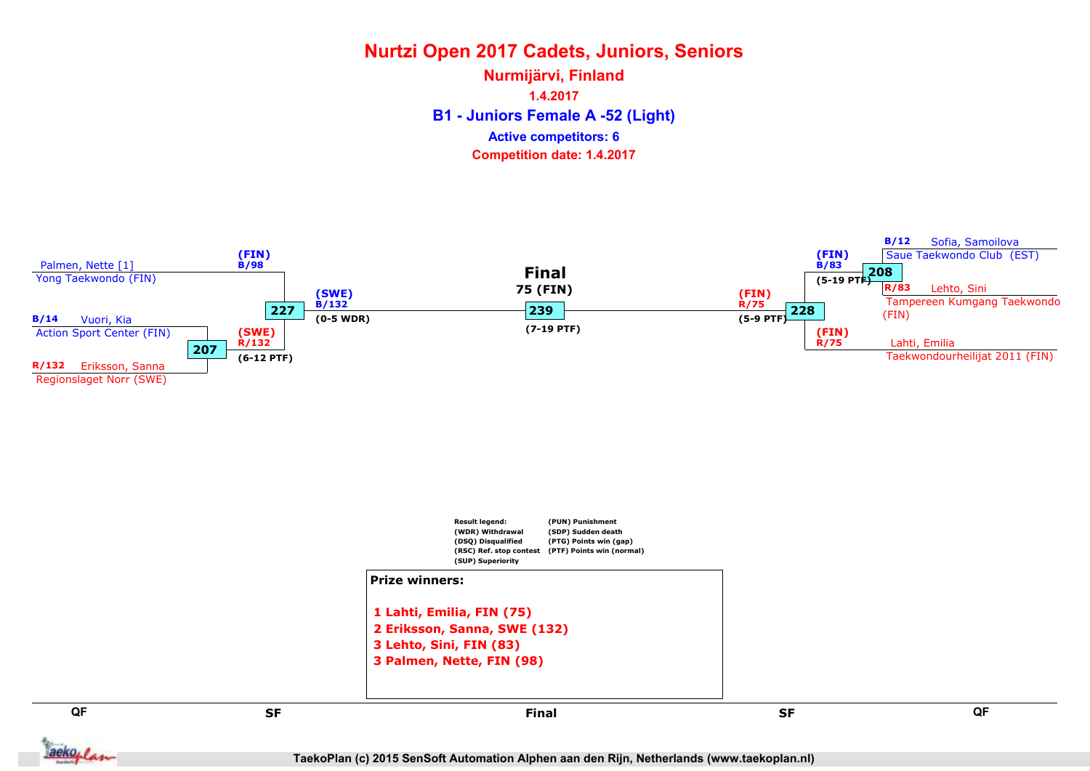B1 - Juniors Female A -52 (Light) Nurmijärvi, Finland 1.4.2017 Competition date: 1.4.2017 Active competitors: 6



TaekoPlan (c) 2015 SenSoft Automation Alphen aan den Rijn, Netherlands (www.taekoplan.nl)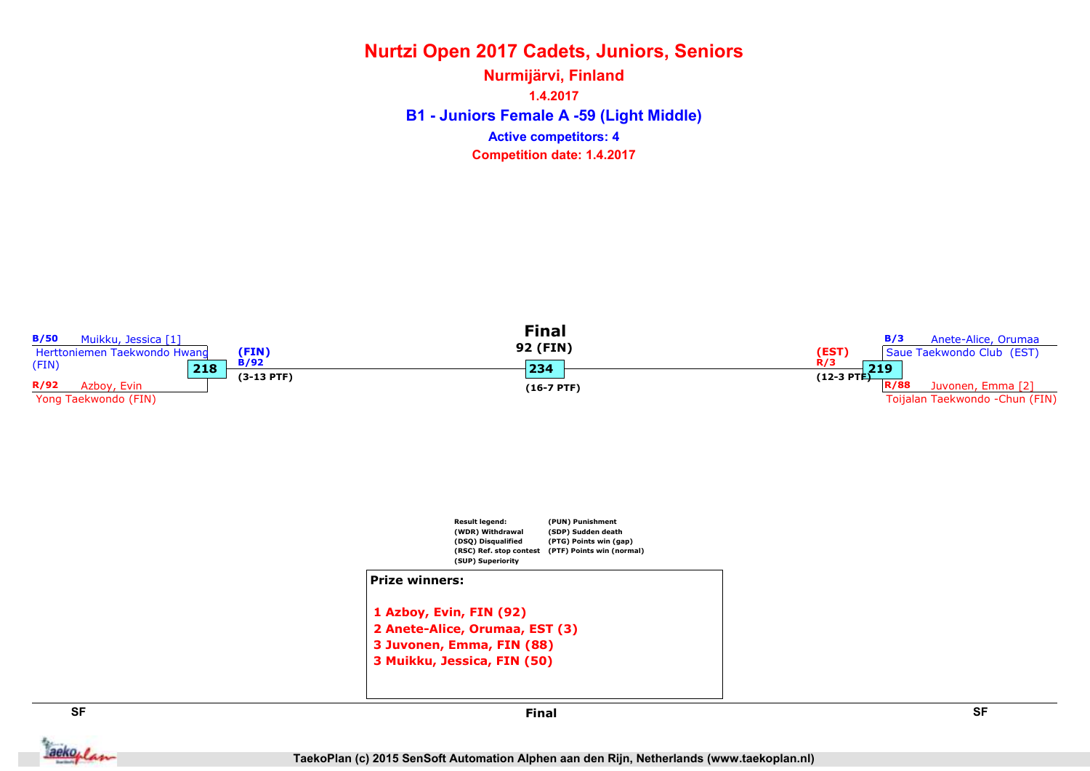B1 - Juniors Female A -59 (Light Middle) Nurmijärvi, Finland 1.4.2017 Competition date: 1.4.2017 Active competitors: 4



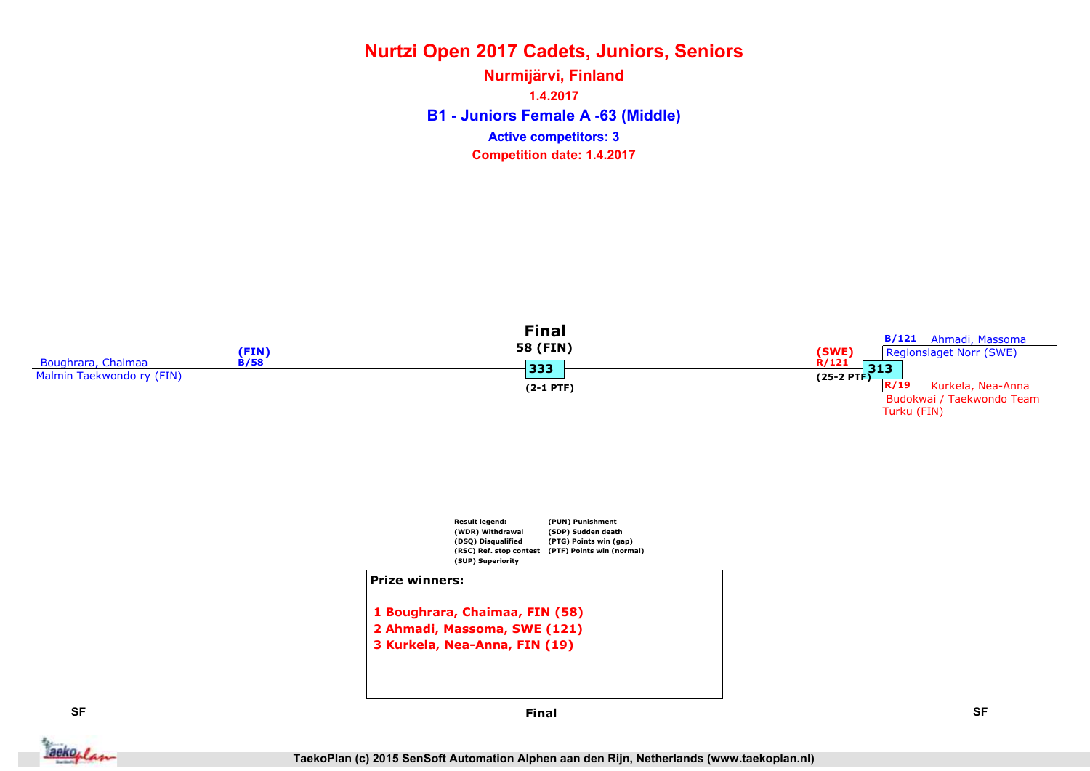### Nurtzi Open 2017 Cadets, Juniors, Seniors B1 - Juniors Female A -63 (Middle) Nurmijärvi, Finland 1.4.2017 Competition date: 1.4.2017 Active competitors: 3



aekoplan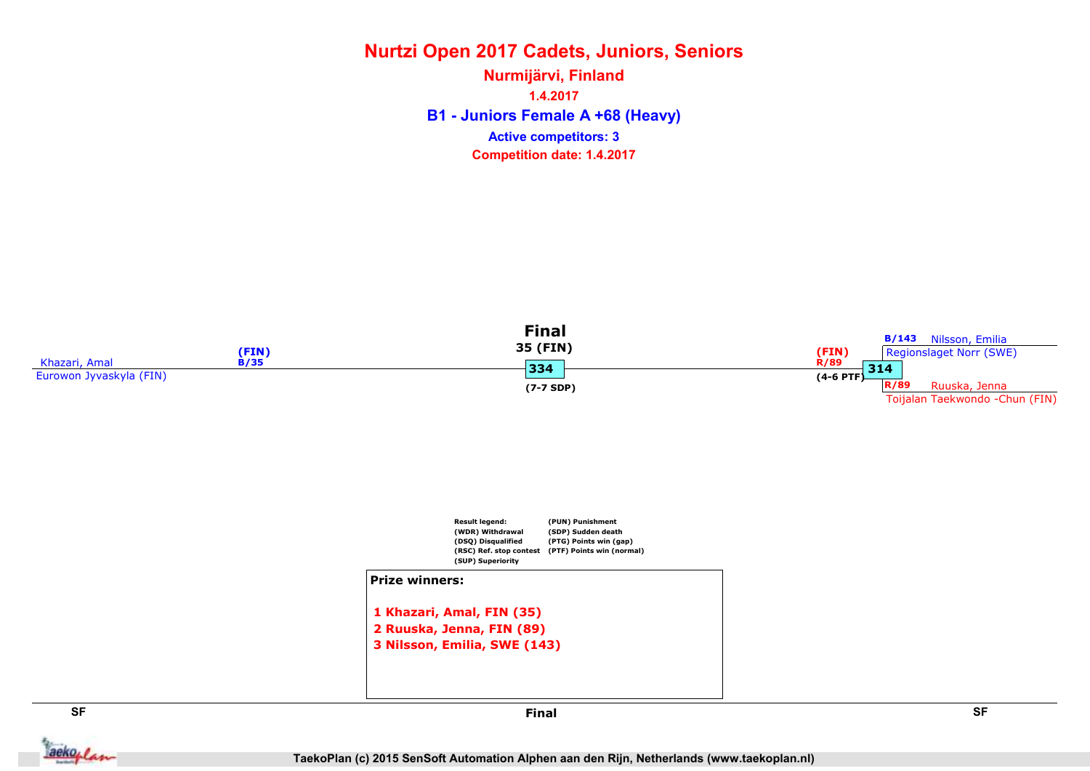### Nurtzi Open 2017 Cadets, Juniors, Seniors B1 - Juniors Female A +68 (Heavy) Nurmijärvi, Finland 1.4.2017 Competition date: 1.4.2017 Active competitors: 3







**Jackoplan** 

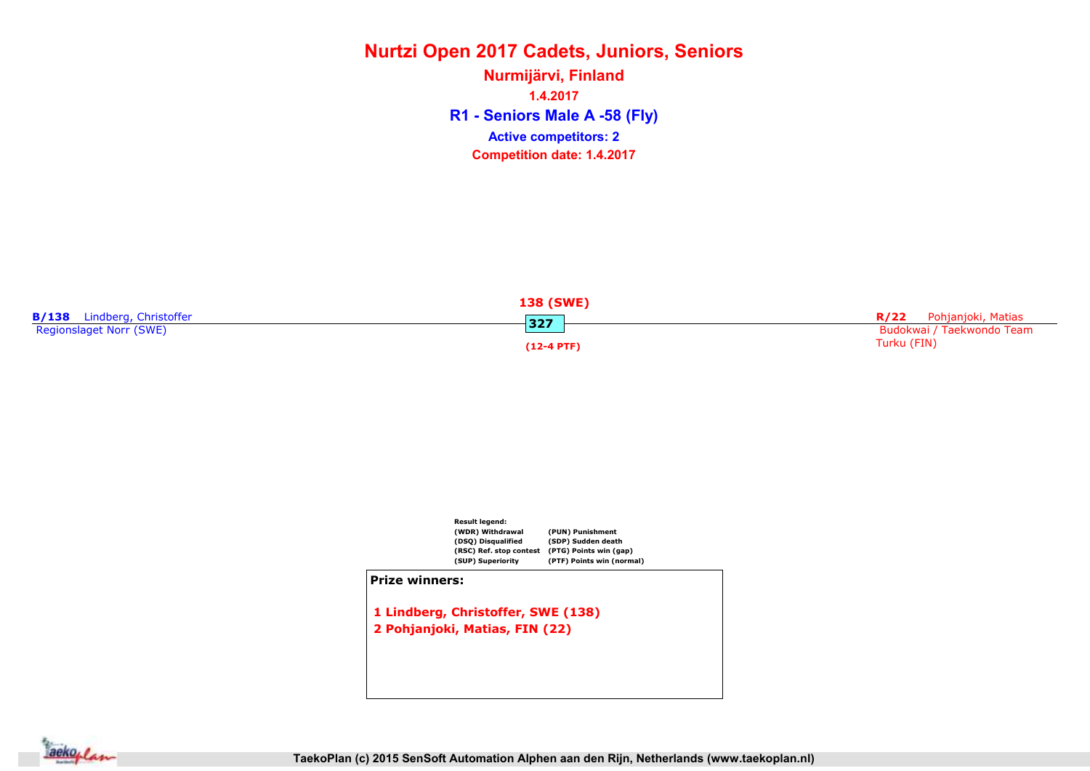R1 - Seniors Male A -58 (Fly) Nurmijärvi, Finland 1.4.2017 Competition date: 1.4.2017 Active competitors: 2





1 Lindberg, Christoffer, SWE (138) 2 Pohjanjoki, Matias, FIN (22)

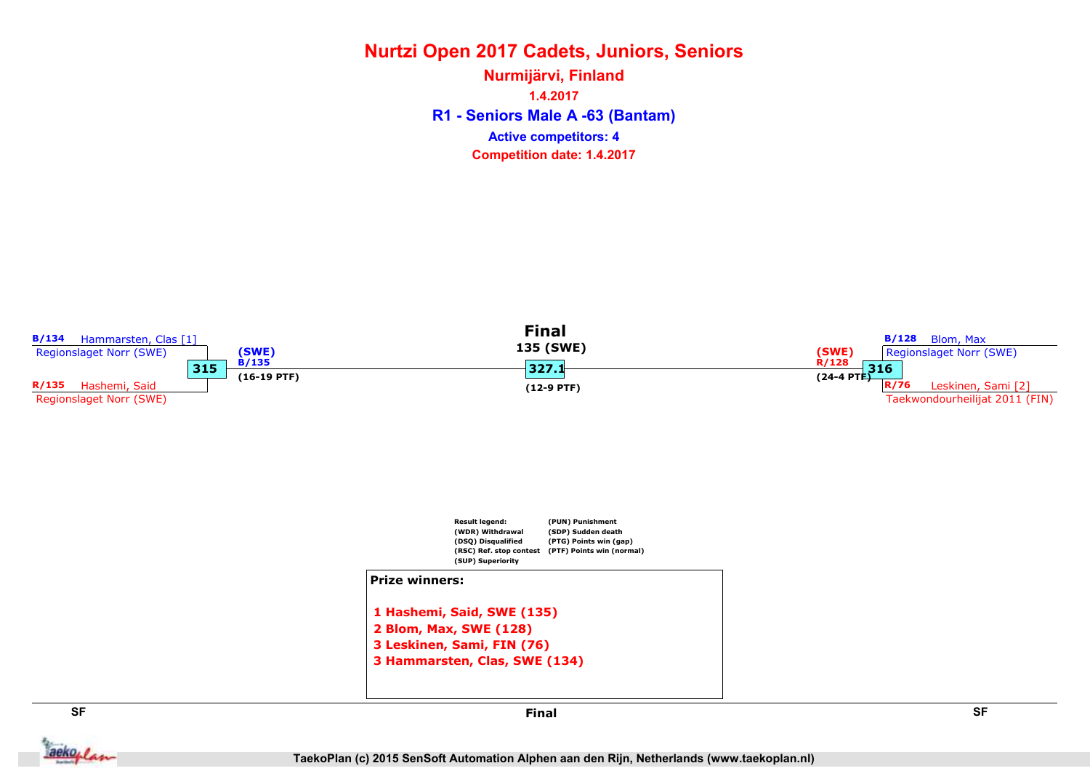R1 - Seniors Male A -63 (Bantam) Nurmijärvi, Finland 1.4.2017 Competition date: 1.4.2017 Active competitors: 4



aekoplan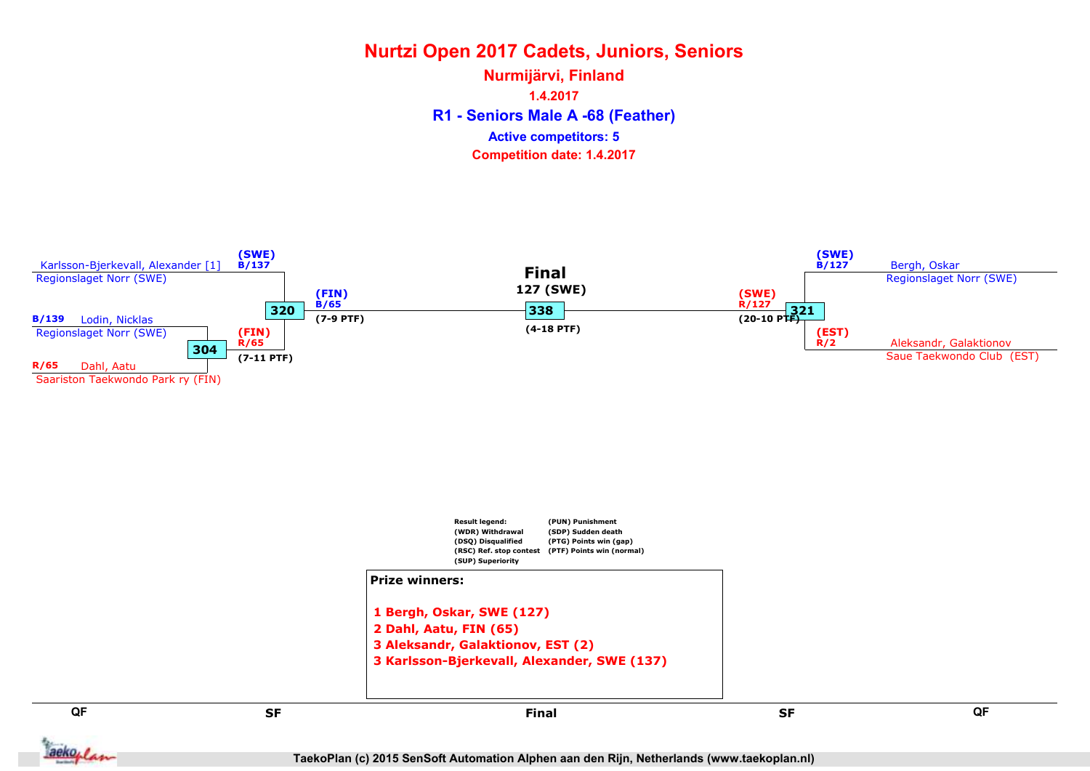R1 - Seniors Male A -68 (Feather) Nurmijärvi, Finland 1.4.2017 Competition date: 1.4.2017 Active competitors: 5

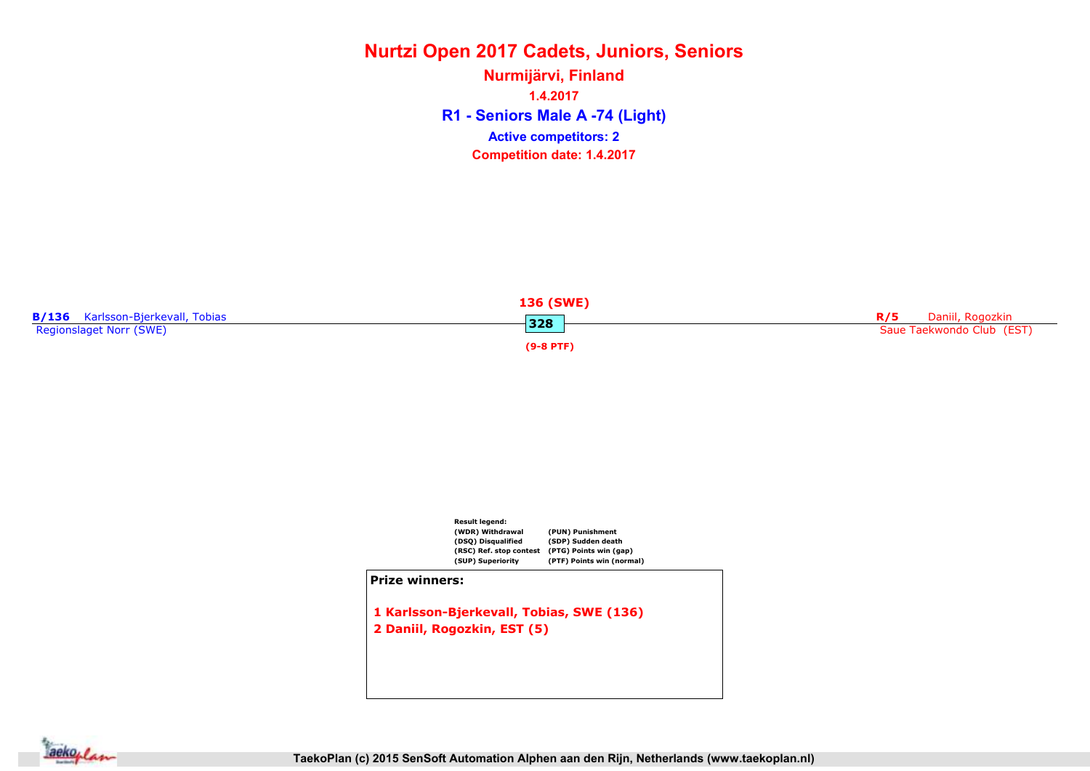R1 - Seniors Male A -74 (Light) Nurmijärvi, Finland 1.4.2017 Competition date: 1.4.2017 Active competitors: 2





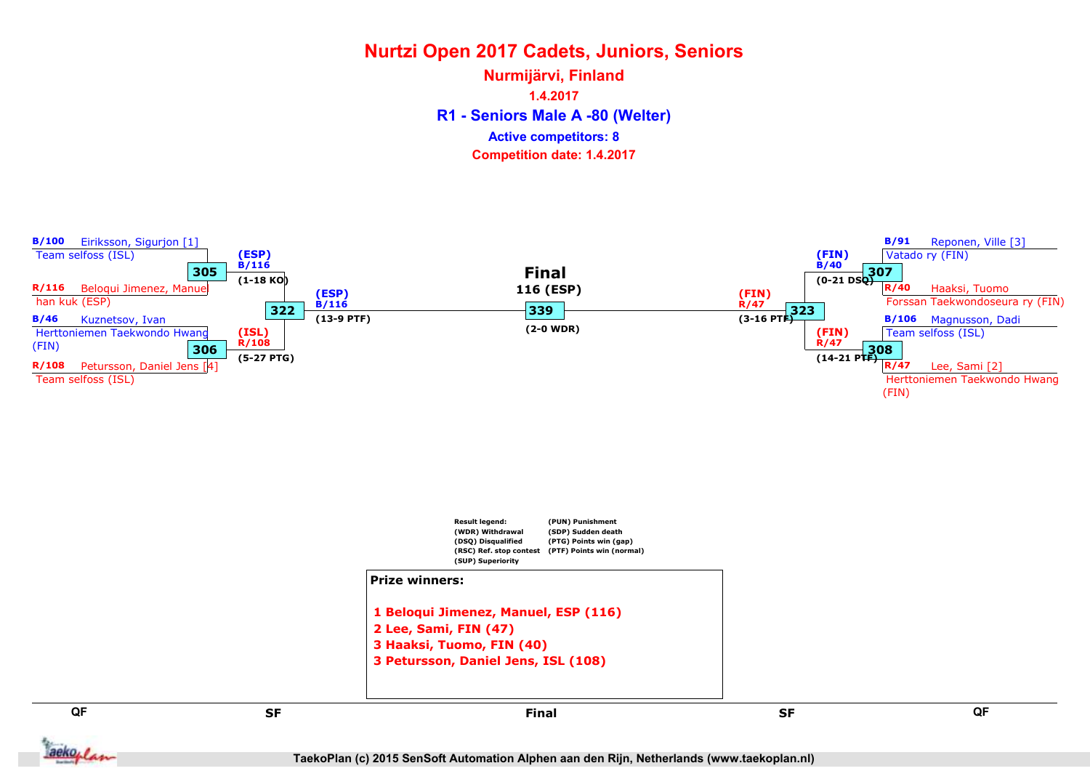R1 - Seniors Male A -80 (Welter) Nurmijärvi, Finland 1.4.2017 Competition date: 1.4.2017 Active competitors: 8



aekoplan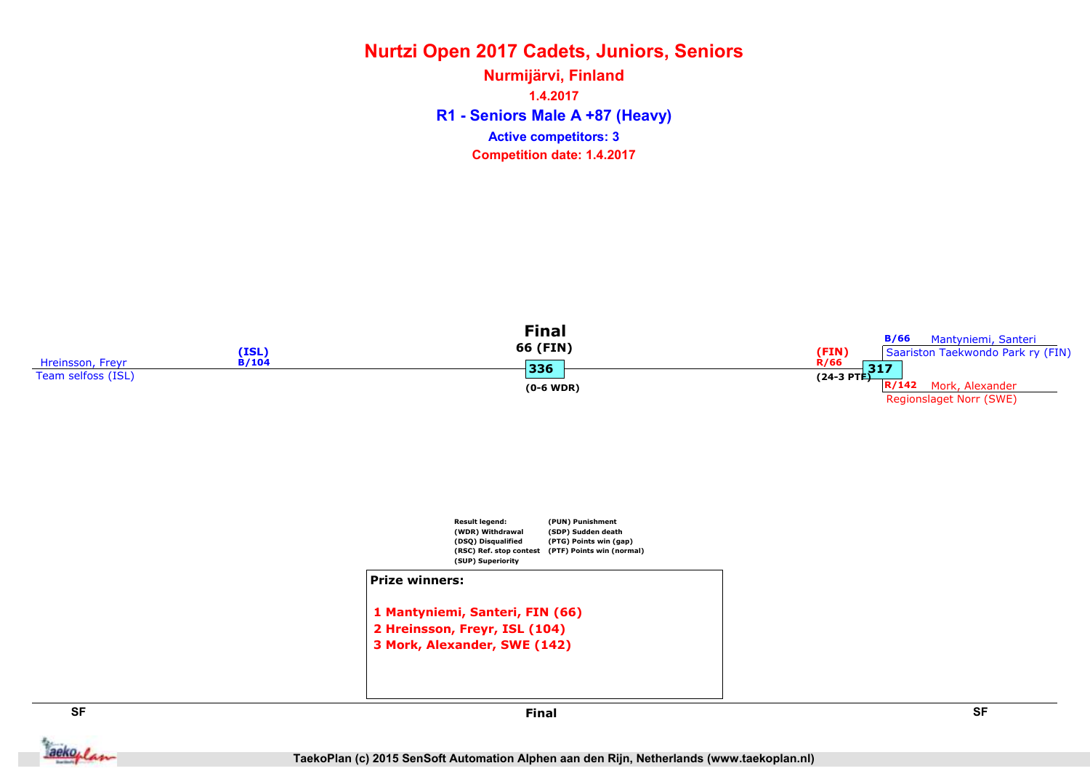# Nurtzi Open 2017 Cadets, Juniors, Seniors Nurmijärvi, Finland

R1 - Seniors Male A +87 (Heavy) 1.4.2017 Competition date: 1.4.2017 Active competitors: 3



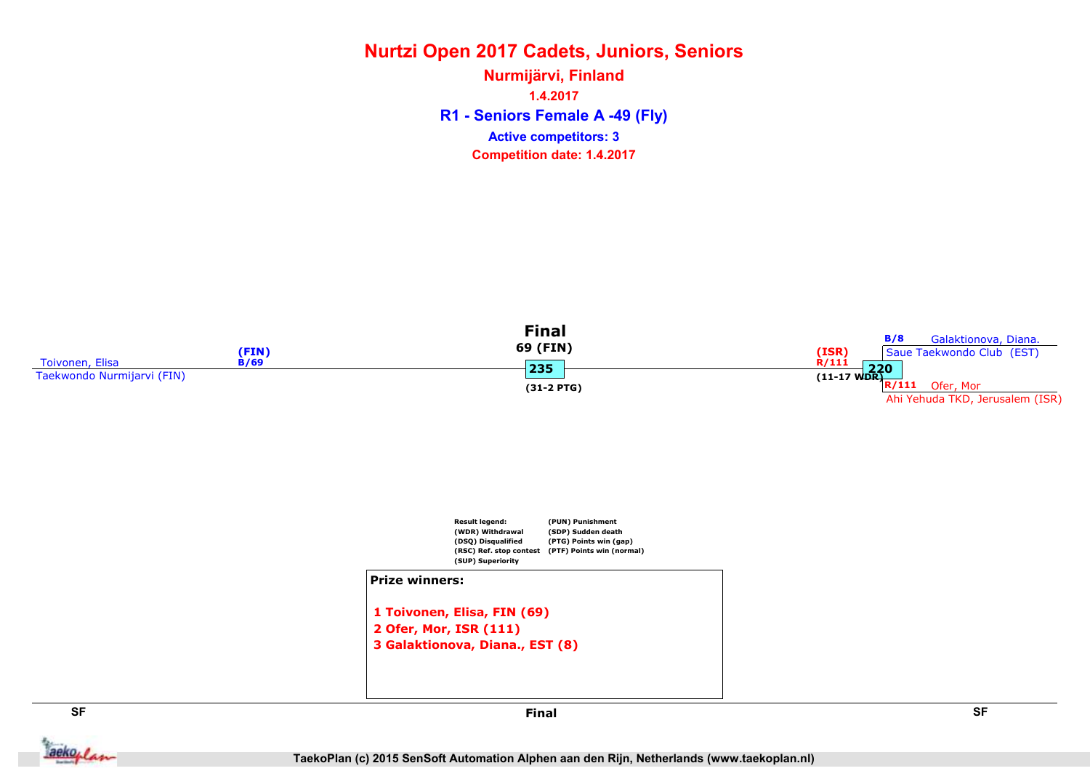R1 - Seniors Female A -49 (Fly) Nurmijärvi, Finland 1.4.2017 Competition date: 1.4.2017 Active competitors: 3





```
2 Ofer, Mor, ISR (111)
3 Galaktionova, Diana., EST (8)
```
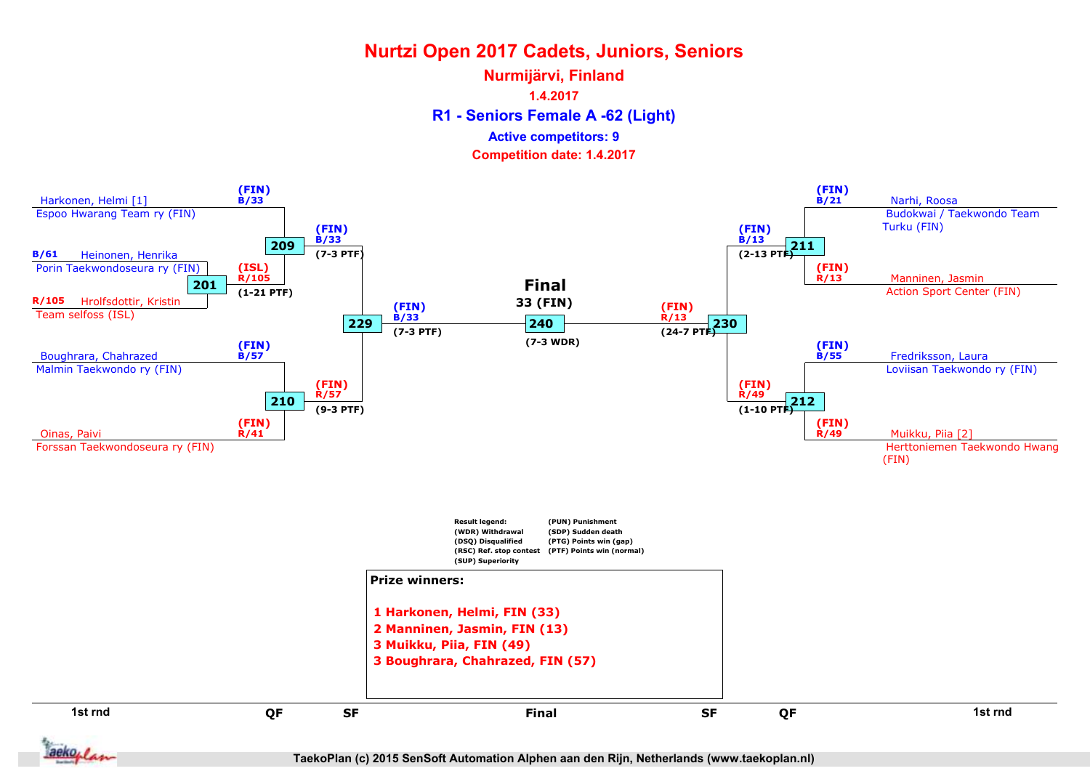R1 - Seniors Female A -62 (Light) Nurmijärvi, Finland 1.4.2017 Competition date: 1.4.2017 Active competitors: 9



TaekoPlan (c) 2015 SenSoft Automation Alphen aan den Rijn, Netherlands (www.taekoplan.nl)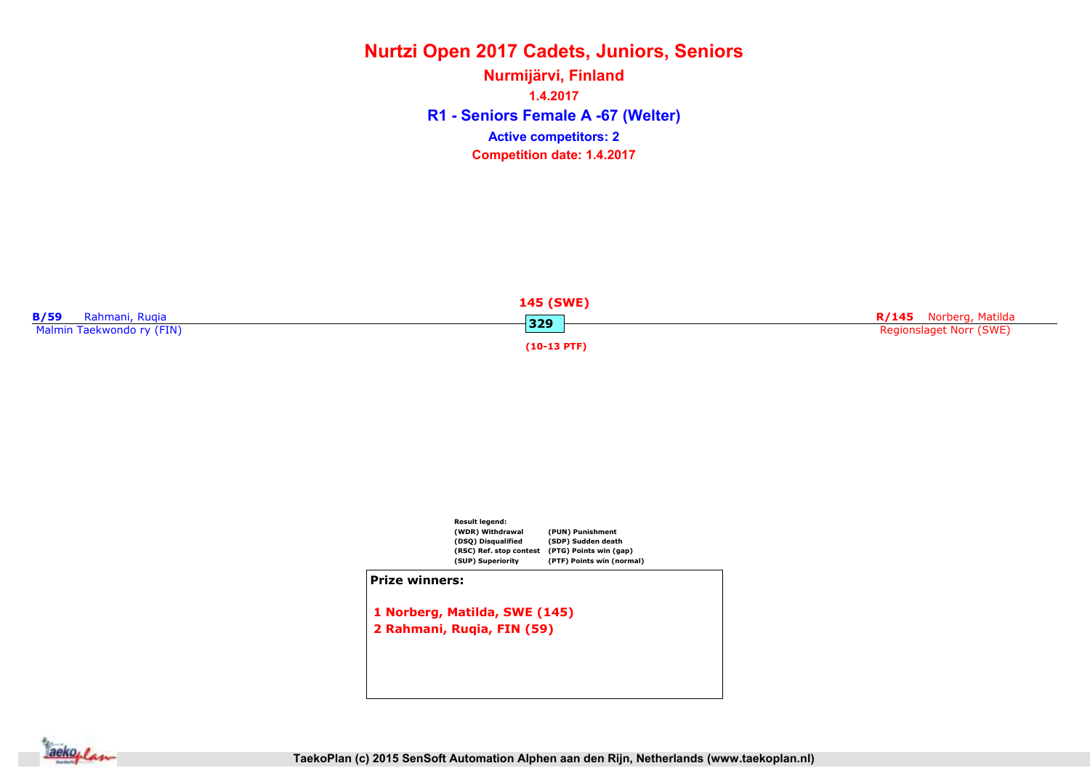R1 - Seniors Female A -67 (Welter) Nurmijärvi, Finland 1.4.2017 Competition date: 1.4.2017 Active competitors: 2